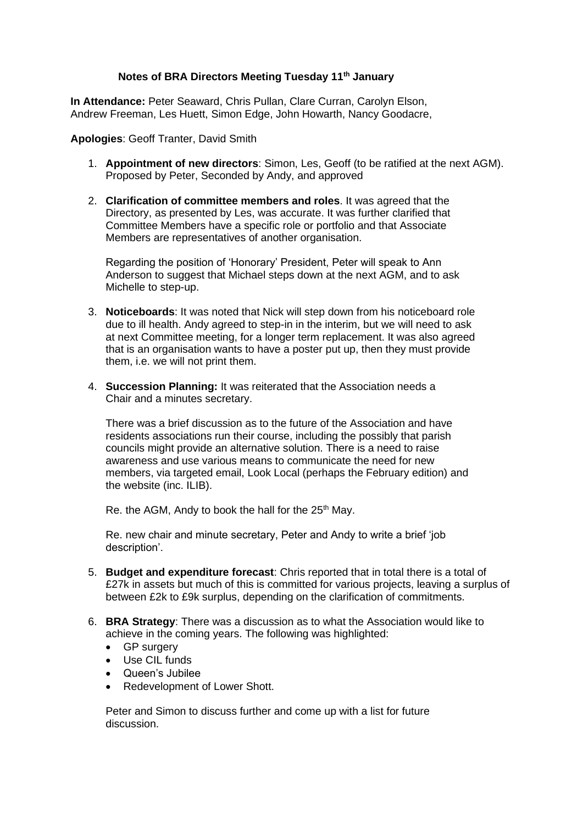## **Notes of BRA Directors Meeting Tuesday 11th January**

**In Attendance:** Peter Seaward, Chris Pullan, Clare Curran, Carolyn Elson, Andrew Freeman, Les Huett, Simon Edge, John Howarth, Nancy Goodacre,

**Apologies**: Geoff Tranter, David Smith

- 1. **Appointment of new directors**: Simon, Les, Geoff (to be ratified at the next AGM). Proposed by Peter, Seconded by Andy, and approved
- 2. **Clarification of committee members and roles**. It was agreed that the Directory, as presented by Les, was accurate. It was further clarified that Committee Members have a specific role or portfolio and that Associate Members are representatives of another organisation.

Regarding the position of 'Honorary' President, Peter will speak to Ann Anderson to suggest that Michael steps down at the next AGM, and to ask Michelle to step-up.

- 3. **Noticeboards**: It was noted that Nick will step down from his noticeboard role due to ill health. Andy agreed to step-in in the interim, but we will need to ask at next Committee meeting, for a longer term replacement. It was also agreed that is an organisation wants to have a poster put up, then they must provide them, i.e. we will not print them.
- 4. **Succession Planning:** It was reiterated that the Association needs a Chair and a minutes secretary.

There was a brief discussion as to the future of the Association and have residents associations run their course, including the possibly that parish councils might provide an alternative solution. There is a need to raise awareness and use various means to communicate the need for new members, via targeted email, Look Local (perhaps the February edition) and the website (inc. ILIB).

Re. the AGM, Andy to book the hall for the 25<sup>th</sup> May.

Re. new chair and minute secretary, Peter and Andy to write a brief 'job description'.

- 5. **Budget and expenditure forecast**: Chris reported that in total there is a total of £27k in assets but much of this is committed for various projects, leaving a surplus of between £2k to £9k surplus, depending on the clarification of commitments.
- 6. **BRA Strategy**: There was a discussion as to what the Association would like to achieve in the coming years. The following was highlighted:
	- GP surgery
	- Use CIL funds
	- Queen's Jubilee
	- Redevelopment of Lower Shott.

Peter and Simon to discuss further and come up with a list for future discussion.